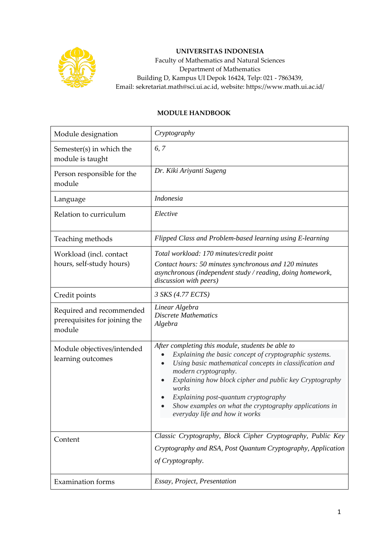

## **UNIVERSITAS INDONESIA**

Faculty of Mathematics and Natural Sciences Department of Mathematics Building D, Kampus UI Depok 16424, Telp: 021 - 7863439, Email: sekretariat.math@sci.ui.ac.id, website: https://www.math.ui.ac.id/

## **MODULE HANDBOOK**

| Module designation                                                  | Cryptography                                                                                                                                                                                                                                                                                                                                                                                           |  |
|---------------------------------------------------------------------|--------------------------------------------------------------------------------------------------------------------------------------------------------------------------------------------------------------------------------------------------------------------------------------------------------------------------------------------------------------------------------------------------------|--|
| Semester(s) in which the<br>module is taught                        | 6, 7                                                                                                                                                                                                                                                                                                                                                                                                   |  |
| Person responsible for the<br>module                                | Dr. Kiki Ariyanti Sugeng                                                                                                                                                                                                                                                                                                                                                                               |  |
| Language                                                            | <b>Indonesia</b>                                                                                                                                                                                                                                                                                                                                                                                       |  |
| Relation to curriculum                                              | Elective                                                                                                                                                                                                                                                                                                                                                                                               |  |
| Teaching methods                                                    | Flipped Class and Problem-based learning using E-learning                                                                                                                                                                                                                                                                                                                                              |  |
| Workload (incl. contact<br>hours, self-study hours)                 | Total workload: 170 minutes/credit point<br>Contact hours: 50 minutes synchronous and 120 minutes<br>asynchronous (independent study / reading, doing homework,<br>discussion with peers)                                                                                                                                                                                                              |  |
| Credit points                                                       | 3 SKS (4.77 ECTS)                                                                                                                                                                                                                                                                                                                                                                                      |  |
| Required and recommended<br>prerequisites for joining the<br>module | Linear Algebra<br><b>Discrete Mathematics</b><br>Algebra                                                                                                                                                                                                                                                                                                                                               |  |
| Module objectives/intended<br>learning outcomes                     | After completing this module, students be able to<br>Explaining the basic concept of cryptographic systems.<br>Using basic mathematical concepts in classification and<br>modern cryptography.<br>Explaining how block cipher and public key Cryptography<br>works<br>Explaining post-quantum cryptography<br>Show examples on what the cryptography applications in<br>everyday life and how it works |  |
| Content                                                             | Classic Cryptography, Block Cipher Cryptography, Public Key<br>Cryptography and RSA, Post Quantum Cryptography, Application<br>of Cryptography.                                                                                                                                                                                                                                                        |  |
| <b>Examination forms</b>                                            | Essay, Project, Presentation                                                                                                                                                                                                                                                                                                                                                                           |  |